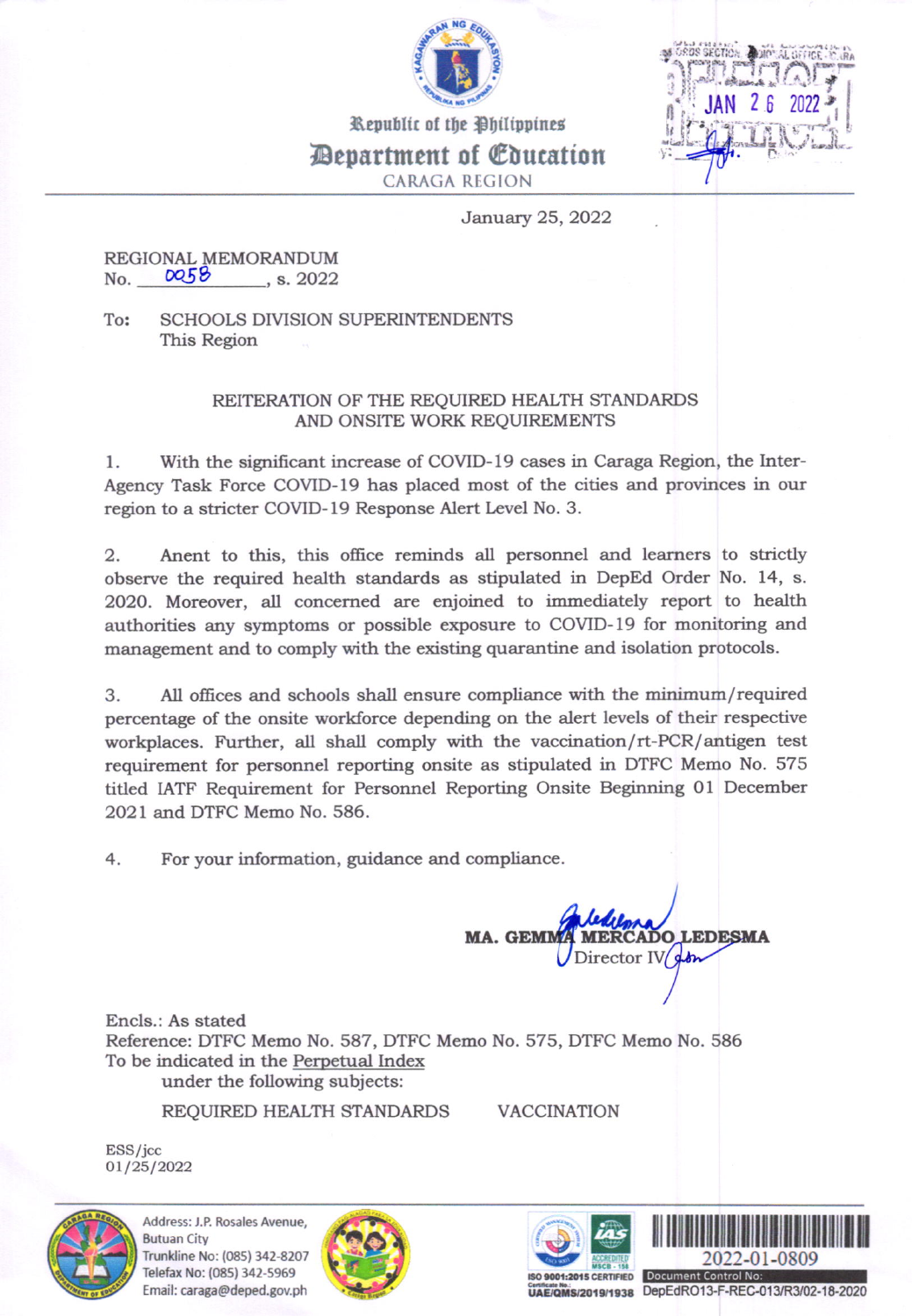

 $i$ -galk vid.

Deparfment of @lucation CARAGA RECION

January 25,2022

## REGIONAL MEMORANDUM<br>No.  $OOS$  , s. 2022

To: SCHOOLS DIVISION SUPERINTENDENTS This Region

## REITERATION OF THE REQUIRED HEALTH STANDARDS AND ONSITE WORK REQUIREMENTS

l. With the significant increase of COVID-l9 cases in Caraga Region, the lnter-Agency Task Force COVTD-I9 has placed most of the cities and provinces in our region to a stricter COVID-19 Response Alert Level No. 3.

2. Anent to this, this office reminds all personnel and leamers to strictly observe the required health standards as stipulated in DepEd Order No. 14, s. 2020. Moreover, all concerned are enjoined to immediately report to health authorities any symptoms or possible exposure to COVID-19 for monitoring and management and to comply with the existing quarantine and isolation protocols.

3. All offices and schools shall ensure compliance with the minimum/required percentage of the onsite workforce depending on the alert levels of their respective workplaces. Further, all shall comply with the vaccination/rt-PCR/antigen test requirement for personnel reporting onsite as stipulated in DTFC Memo No. 575 titled LATF Requirement for Personnel Reporting Onsite Beginning Ol December 2021 and DTFC Memo No. 586.

4. For your information, guidance and compliance

MA. GEMI **MERCADO LEDESMA** Director IV &

Encls.: As stated Reference: DTFC Memo No. 587, DTFC Memo No. 575, DTFC Memo No. 586 To be indicated in the Perpetual Index under the following subjects:

REQUIRED HEALTH STANDARDS

VACCINATION

ESS/jcc 01/25/2022



Address: J.P. Rosales Avenue. **Butuan City** Trunkline No: (085) 342-8207 Telefax No: (085) 342-5969 Email: caraga@deped.gov.ph